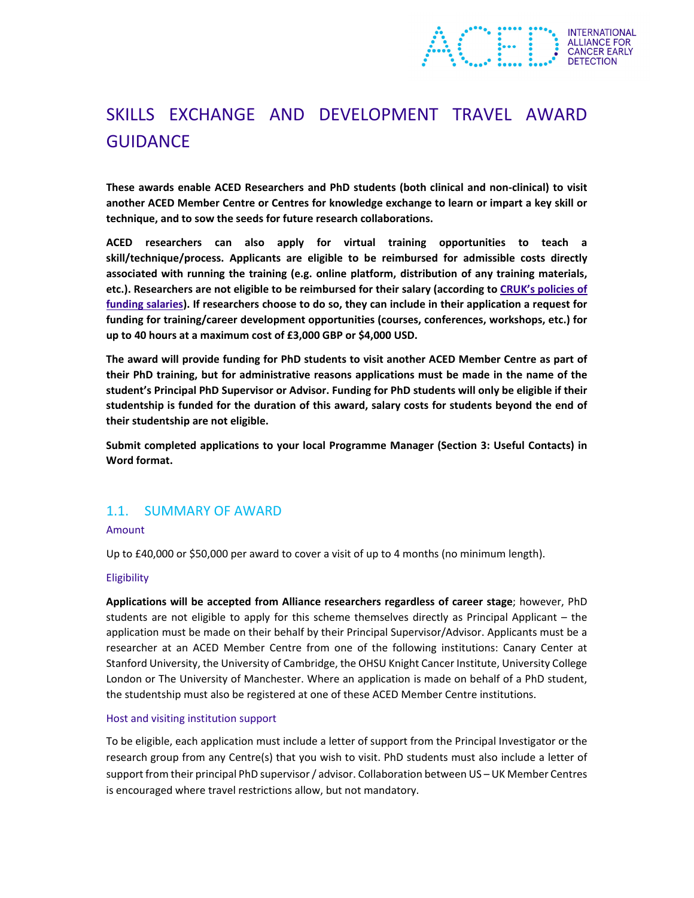

# SKILLS EXCHANGE AND DEVELOPMENT TRAVEL AWARD GUIDANCE

**These awards enable ACED Researchers and PhD students (both clinical and non‐clinical) to visit another ACED Member Centre or Centres for knowledge exchange to learn or impart a key skill or technique, and to sow the seeds for future research collaborations.** 

**ACED researchers can also apply for virtual training opportunities to teach a skill/technique/process. Applicants are eligible to be reimbursed for admissible costs directly associated with running the training (e.g. online platform, distribution of any training materials, etc.). Researchers are not eligible to be reimbursed for their salary (according to CRUK's policies of funding salaries). If researchers choose to do so, they can include in their application a request for funding for training/career development opportunities (courses, conferences, workshops, etc.) for up to 40 hours at a maximum cost of £3,000 GBP or \$4,000 USD.**

**The award will provide funding for PhD students to visit another ACED Member Centre as part of their PhD training, but for administrative reasons applications must be made in the name of the student's Principal PhD Supervisor or Advisor. Funding for PhD students will only be eligible if their studentship is funded for the duration of this award, salary costs for students beyond the end of their studentship are not eligible.**

**Submit completed applications to your local Programme Manager (Section 3: Useful Contacts) in Word format.** 

## 1.1. SUMMARY OF AWARD

### Amount

Up to £40,000 or \$50,000 per award to cover a visit of up to 4 months (no minimum length).

### Eligibility

**Applications will be accepted from Alliance researchers regardless of career stage**; however, PhD students are not eligible to apply for this scheme themselves directly as Principal Applicant – the application must be made on their behalf by their Principal Supervisor/Advisor. Applicants must be a researcher at an ACED Member Centre from one of the following institutions: Canary Center at Stanford University, the University of Cambridge, the OHSU Knight Cancer Institute, University College London or The University of Manchester. Where an application is made on behalf of a PhD student, the studentship must also be registered at one of these ACED Member Centre institutions.

### Host and visiting institution support

To be eligible, each application must include a letter of support from the Principal Investigator or the research group from any Centre(s) that you wish to visit. PhD students must also include a letter of support from their principal PhD supervisor / advisor. Collaboration between US – UK Member Centres is encouraged where travel restrictions allow, but not mandatory.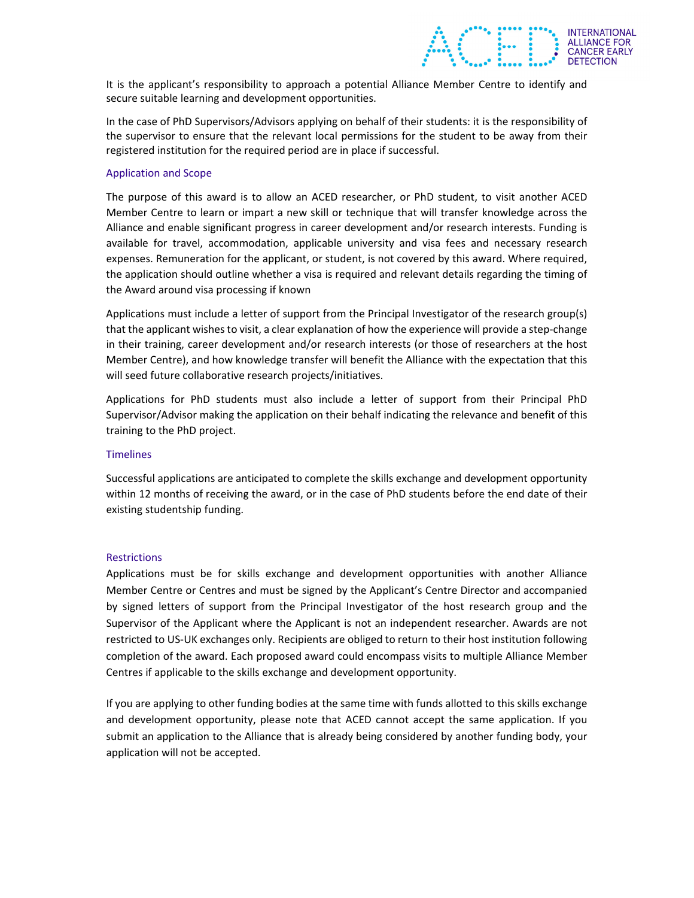It is the applicant's responsibility to approach a potential Alliance Member Centre to identify and secure suitable learning and development opportunities.

**ALLIANCE FOR<br>CANCER EARLY** 

In the case of PhD Supervisors/Advisors applying on behalf of their students: it is the responsibility of the supervisor to ensure that the relevant local permissions for the student to be away from their registered institution for the required period are in place if successful.

### Application and Scope

The purpose of this award is to allow an ACED researcher, or PhD student, to visit another ACED Member Centre to learn or impart a new skill or technique that will transfer knowledge across the Alliance and enable significant progress in career development and/or research interests. Funding is available for travel, accommodation, applicable university and visa fees and necessary research expenses. Remuneration for the applicant, or student, is not covered by this award. Where required, the application should outline whether a visa is required and relevant details regarding the timing of the Award around visa processing if known

Applications must include a letter of support from the Principal Investigator of the research group(s) that the applicant wishes to visit, a clear explanation of how the experience will provide a step-change in their training, career development and/or research interests (or those of researchers at the host Member Centre), and how knowledge transfer will benefit the Alliance with the expectation that this will seed future collaborative research projects/initiatives.

Applications for PhD students must also include a letter of support from their Principal PhD Supervisor/Advisor making the application on their behalf indicating the relevance and benefit of this training to the PhD project.

#### **Timelines**

Successful applications are anticipated to complete the skills exchange and development opportunity within 12 months of receiving the award, or in the case of PhD students before the end date of their existing studentship funding.

#### **Restrictions**

Applications must be for skills exchange and development opportunities with another Alliance Member Centre or Centres and must be signed by the Applicant's Centre Director and accompanied by signed letters of support from the Principal Investigator of the host research group and the Supervisor of the Applicant where the Applicant is not an independent researcher. Awards are not restricted to US‐UK exchanges only. Recipients are obliged to return to their host institution following completion of the award. Each proposed award could encompass visits to multiple Alliance Member Centres if applicable to the skills exchange and development opportunity.

If you are applying to other funding bodies at the same time with funds allotted to this skills exchange and development opportunity, please note that ACED cannot accept the same application. If you submit an application to the Alliance that is already being considered by another funding body, your application will not be accepted.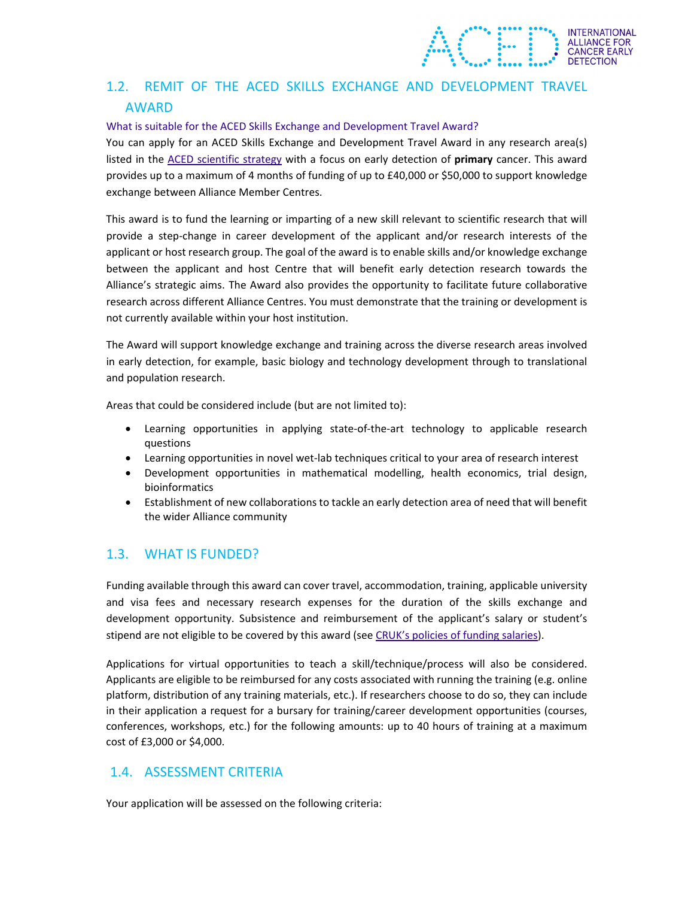# 1.2. REMIT OF THE ACED SKILLS EXCHANGE AND DEVELOPMENT TRAVEL AWARD

**INTERNATIONAL** ALLIANCE FOR<br>CANCER EARLY

### What is suitable for the ACED Skills Exchange and Development Travel Award?

You can apply for an ACED Skills Exchange and Development Travel Award in any research area(s) listed in the ACED scientific strategy with a focus on early detection of **primary** cancer. This award provides up to a maximum of 4 months of funding of up to £40,000 or \$50,000 to support knowledge exchange between Alliance Member Centres.

This award is to fund the learning or imparting of a new skill relevant to scientific research that will provide a step-change in career development of the applicant and/or research interests of the applicant or host research group. The goal of the award is to enable skills and/or knowledge exchange between the applicant and host Centre that will benefit early detection research towards the Alliance's strategic aims. The Award also provides the opportunity to facilitate future collaborative research across different Alliance Centres. You must demonstrate that the training or development is not currently available within your host institution.

The Award will support knowledge exchange and training across the diverse research areas involved in early detection, for example, basic biology and technology development through to translational and population research.

Areas that could be considered include (but are not limited to):

- Learning opportunities in applying state‐of‐the‐art technology to applicable research questions
- Learning opportunities in novel wet-lab techniques critical to your area of research interest
- Development opportunities in mathematical modelling, health economics, trial design, bioinformatics
- Establishment of new collaborations to tackle an early detection area of need that will benefit the wider Alliance community

## 1.3. WHAT IS FUNDED?

Funding available through this award can cover travel, accommodation, training, applicable university and visa fees and necessary research expenses for the duration of the skills exchange and development opportunity. Subsistence and reimbursement of the applicant's salary or student's stipend are not eligible to be covered by this award (see CRUK's policies of funding salaries).

Applications for virtual opportunities to teach a skill/technique/process will also be considered. Applicants are eligible to be reimbursed for any costs associated with running the training (e.g. online platform, distribution of any training materials, etc.). If researchers choose to do so, they can include in their application a request for a bursary for training/career development opportunities (courses, conferences, workshops, etc.) for the following amounts: up to 40 hours of training at a maximum cost of £3,000 or \$4,000.

## 1.4. ASSESSMENT CRITERIA

Your application will be assessed on the following criteria: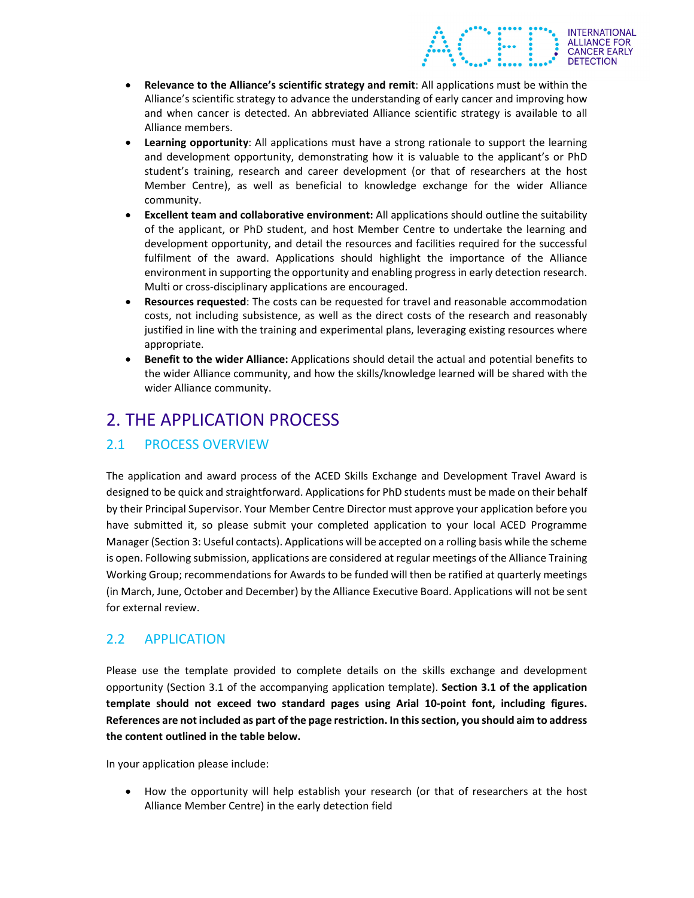**Relevance to the Alliance's scientific strategy and remit**: All applications must be within the Alliance's scientific strategy to advance the understanding of early cancer and improving how and when cancer is detected. An abbreviated Alliance scientific strategy is available to all Alliance members.

**ALLIANCE FOR<br>CANCER EARLY** 

- **Learning opportunity**: All applications must have a strong rationale to support the learning and development opportunity, demonstrating how it is valuable to the applicant's or PhD student's training, research and career development (or that of researchers at the host Member Centre), as well as beneficial to knowledge exchange for the wider Alliance community.
- **Excellent team and collaborative environment:** All applications should outline the suitability of the applicant, or PhD student, and host Member Centre to undertake the learning and development opportunity, and detail the resources and facilities required for the successful fulfilment of the award. Applications should highlight the importance of the Alliance environment in supporting the opportunity and enabling progressin early detection research. Multi or cross‐disciplinary applications are encouraged.
- **Resources requested**: The costs can be requested for travel and reasonable accommodation costs, not including subsistence, as well as the direct costs of the research and reasonably justified in line with the training and experimental plans, leveraging existing resources where appropriate.
- **Benefit to the wider Alliance:** Applications should detail the actual and potential benefits to the wider Alliance community, and how the skills/knowledge learned will be shared with the wider Alliance community.

# 2. THE APPLICATION PROCESS

# 2.1 PROCESS OVERVIEW

The application and award process of the ACED Skills Exchange and Development Travel Award is designed to be quick and straightforward. Applications for PhD students must be made on their behalf by their Principal Supervisor. Your Member Centre Director must approve your application before you have submitted it, so please submit your completed application to your local ACED Programme Manager (Section 3: Useful contacts). Applications will be accepted on a rolling basis while the scheme is open. Following submission, applications are considered at regular meetings of the Alliance Training Working Group; recommendations for Awards to be funded will then be ratified at quarterly meetings (in March, June, October and December) by the Alliance Executive Board. Applications will not be sent for external review.

# 2.2 APPLICATION

Please use the template provided to complete details on the skills exchange and development opportunity (Section 3.1 of the accompanying application template). **Section 3.1 of the application template should not exceed two standard pages using Arial 10‐point font, including figures. References are not included as part of the page restriction. In thissection, you should aim to address the content outlined in the table below.**

In your application please include:

• How the opportunity will help establish your research (or that of researchers at the host Alliance Member Centre) in the early detection field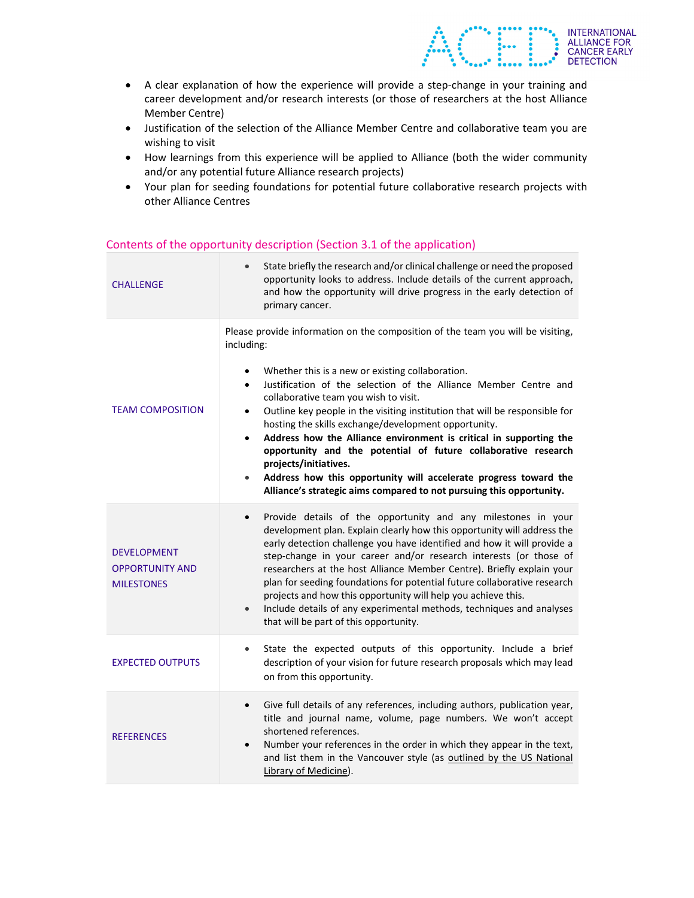A clear explanation of how the experience will provide a step‐change in your training and career development and/or research interests (or those of researchers at the host Alliance Member Centre)

**INTERNATIONAL** ALLIANCE FOR<br>CANCER EARLY **DETECTION** 

- Justification of the selection of the Alliance Member Centre and collaborative team you are wishing to visit
- How learnings from this experience will be applied to Alliance (both the wider community and/or any potential future Alliance research projects)
- Your plan for seeding foundations for potential future collaborative research projects with other Alliance Centres

| <b>CHALLENGE</b>                                                  | State briefly the research and/or clinical challenge or need the proposed<br>opportunity looks to address. Include details of the current approach,<br>and how the opportunity will drive progress in the early detection of<br>primary cancer.                                                                                                                                                                                                                                                                                                                                                                                                                                                                                                                        |  |  |
|-------------------------------------------------------------------|------------------------------------------------------------------------------------------------------------------------------------------------------------------------------------------------------------------------------------------------------------------------------------------------------------------------------------------------------------------------------------------------------------------------------------------------------------------------------------------------------------------------------------------------------------------------------------------------------------------------------------------------------------------------------------------------------------------------------------------------------------------------|--|--|
| <b>TEAM COMPOSITION</b>                                           | Please provide information on the composition of the team you will be visiting,<br>including:<br>Whether this is a new or existing collaboration.<br>Justification of the selection of the Alliance Member Centre and<br>$\bullet$<br>collaborative team you wish to visit.<br>Outline key people in the visiting institution that will be responsible for<br>$\bullet$<br>hosting the skills exchange/development opportunity.<br>Address how the Alliance environment is critical in supporting the<br>$\bullet$<br>opportunity and the potential of future collaborative research<br>projects/initiatives.<br>Address how this opportunity will accelerate progress toward the<br>$\bullet$<br>Alliance's strategic aims compared to not pursuing this opportunity. |  |  |
| <b>DEVELOPMENT</b><br><b>OPPORTUNITY AND</b><br><b>MILESTONES</b> | Provide details of the opportunity and any milestones in your<br>$\bullet$<br>development plan. Explain clearly how this opportunity will address the<br>early detection challenge you have identified and how it will provide a<br>step-change in your career and/or research interests (or those of<br>researchers at the host Alliance Member Centre). Briefly explain your<br>plan for seeding foundations for potential future collaborative research<br>projects and how this opportunity will help you achieve this.<br>Include details of any experimental methods, techniques and analyses<br>$\bullet$<br>that will be part of this opportunity.                                                                                                             |  |  |
| <b>EXPECTED OUTPUTS</b>                                           | State the expected outputs of this opportunity. Include a brief<br>$\bullet$<br>description of your vision for future research proposals which may lead<br>on from this opportunity.                                                                                                                                                                                                                                                                                                                                                                                                                                                                                                                                                                                   |  |  |
| <b>REFERENCES</b>                                                 | Give full details of any references, including authors, publication year,<br>$\bullet$<br>title and journal name, volume, page numbers. We won't accept<br>shortened references.<br>Number your references in the order in which they appear in the text,<br>$\bullet$<br>and list them in the Vancouver style (as outlined by the US National<br>Library of Medicine).                                                                                                                                                                                                                                                                                                                                                                                                |  |  |

### Contents of the opportunity description (Section 3.1 of the application)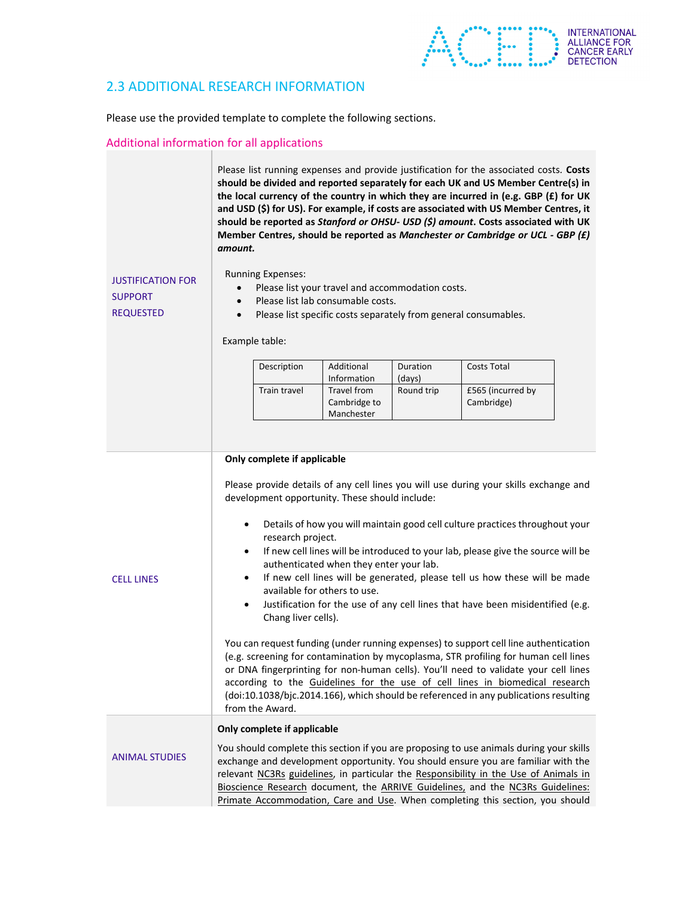

## 2.3 ADDITIONAL RESEARCH INFORMATION

Please use the provided template to complete the following sections.

### Additional information for all applications

Please list running expenses and provide justification for the associated costs. **Costs should be divided and reported separately for each UK and US Member Centre(s) in the local currency of the country in which they are incurred in (e.g. GBP (£) for UK and USD (\$) for US). For example, if costs are associated with US Member Centres, it should be reported as** *Stanford or OHSU‐ USD (\$) amount***. Costs associated with UK Member Centres, should be reported as** *Manchester or Cambridge or UCL ‐ GBP (£) amount.*

Running Expenses:

JUSTIFICATION FOR SUPPORT REQUESTED

- Please list your travel and accommodation costs.
- Please list lab consumable costs.
- Please list specific costs separately from general consumables.

Example table:

| Description  | Additional<br>Information  | Duration<br>(days) | <b>Costs Total</b> |
|--------------|----------------------------|--------------------|--------------------|
| Train travel | Travel from                | Round trip         | £565 (incurred by  |
|              | Cambridge to<br>Manchester |                    | Cambridge)         |

#### **Only complete if applicable**

Please provide details of any cell lines you will use during your skills exchange and development opportunity. These should include:

- Details of how you will maintain good cell culture practices throughout your research project.
- If new cell lines will be introduced to your lab, please give the source will be authenticated when they enter your lab.

CELL LINES

- If new cell lines will be generated, please tell us how these will be made available for others to use.
- Justification for the use of any cell lines that have been misidentified (e.g. Chang liver cells).

You can request funding (under running expenses) to support cell line authentication (e.g. screening for contamination by mycoplasma, STR profiling for human cell lines or DNA fingerprinting for non‐human cells). You'll need to validate your cell lines according to the Guidelines for the use of cell lines in biomedical research (doi:10.1038/bjc.2014.166), which should be referenced in any publications resulting from the Award.

### **Only complete if applicable**

ANIMAL STUDIES You should complete this section if you are proposing to use animals during your skills exchange and development opportunity. You should ensure you are familiar with the relevant NC3Rs guidelines, in particular the Responsibility in the Use of Animals in Bioscience Research document, the ARRIVE Guidelines, and the NC3Rs Guidelines: Primate Accommodation, Care and Use. When completing this section, you should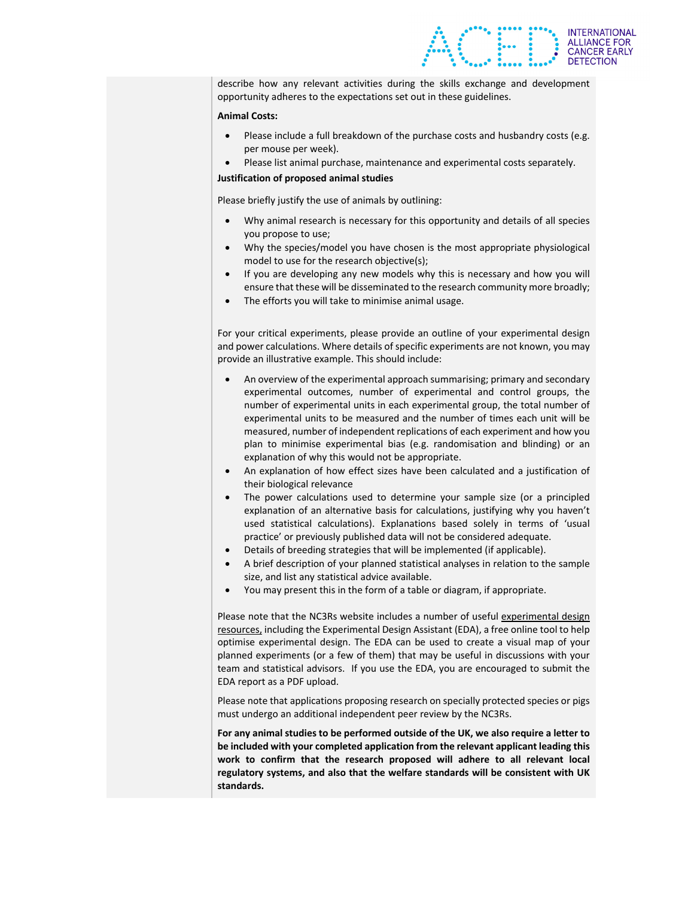

describe how any relevant activities during the skills exchange and development opportunity adheres to the expectations set out in these guidelines.

#### **Animal Costs:**

- Please include a full breakdown of the purchase costs and husbandry costs (e.g. per mouse per week).
- Please list animal purchase, maintenance and experimental costs separately.

#### **Justification of proposed animal studies**

Please briefly justify the use of animals by outlining:

- Why animal research is necessary for this opportunity and details of all species you propose to use;
- Why the species/model you have chosen is the most appropriate physiological model to use for the research objective(s);
- If you are developing any new models why this is necessary and how you will ensure that these will be disseminated to the research community more broadly;
- The efforts you will take to minimise animal usage.

For your critical experiments, please provide an outline of your experimental design and power calculations. Where details of specific experiments are not known, you may provide an illustrative example. This should include:

- An overview of the experimental approach summarising; primary and secondary experimental outcomes, number of experimental and control groups, the number of experimental units in each experimental group, the total number of experimental units to be measured and the number of times each unit will be measured, number of independent replications of each experiment and how you plan to minimise experimental bias (e.g. randomisation and blinding) or an explanation of why this would not be appropriate.
- An explanation of how effect sizes have been calculated and a justification of their biological relevance
- The power calculations used to determine your sample size (or a principled explanation of an alternative basis for calculations, justifying why you haven't used statistical calculations). Explanations based solely in terms of 'usual practice' or previously published data will not be considered adequate.
- Details of breeding strategies that will be implemented (if applicable).
- A brief description of your planned statistical analyses in relation to the sample size, and list any statistical advice available.
- You may present this in the form of a table or diagram, if appropriate.

Please note that the NC3Rs website includes a number of useful experimental design resources, including the Experimental Design Assistant (EDA), a free online tool to help optimise experimental design. The EDA can be used to create a visual map of your planned experiments (or a few of them) that may be useful in discussions with your team and statistical advisors. If you use the EDA, you are encouraged to submit the EDA report as a PDF upload.

Please note that applications proposing research on specially protected species or pigs must undergo an additional independent peer review by the NC3Rs.

**For any animal studies to be performed outside of the UK, we also require a letter to be included with your completed application from the relevant applicant leading this work to confirm that the research proposed will adhere to all relevant local regulatory systems, and also that the welfare standards will be consistent with UK standards.**